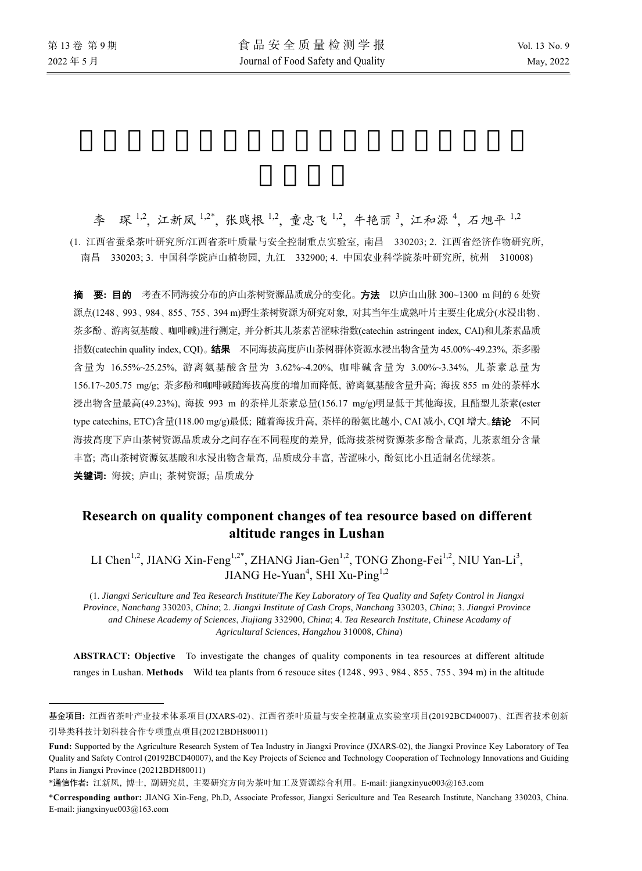$\overline{a}$ 

李 琛<sup>1,2</sup>, 江新凤<sup>1,2\*</sup>, 张贱根<sup>1,2</sup>, 童忠飞<sup>1,2</sup>, 牛艳丽<sup>3</sup>, 江和源<sup>4</sup>, 石旭平<sup>1,2</sup> (1. 江西省蚕桑茶叶研究所/江西省茶叶质量与安全控制重点实验室, 南昌 330203; 2. 江西省经济作物研究所, 南昌 330203; 3. 中国科学院庐山植物园, 九江 332900; 4. 中国农业科学院茶叶研究所, 杭州 310008)

摘要**:** 目的 考查不同海拔分布的庐山茶树资源品质成分的变化。方法以庐山山脉 300~1300 m 间的 6 处资 源点(1248、993、984、855、755、394 m)野生茶树资源为研究对象, 对其当年生成熟叶片主要生化成分(水浸出物、 茶多酚、游离氨基酸、咖啡碱)进行测定, 并分析其儿茶素苦涩味指数(catechin astringent index, CAI)和儿茶素品质 指数(catechin quality index, CQI)。结果不同海拔高度庐山茶树群体资源水浸出物含量为 45.00%~49.23%, 茶多酚 含量为 16.55%~25.25%, 游离氨基酸含量为 3.62%~4.20%, 咖啡碱含量为 3.00%~3.34%, 儿茶素总量为 156.17~205.75 mg/g; 茶多酚和咖啡碱随海拔高度的增加而降低, 游离氨基酸含量升高; 海拔 855 m 处的茶样水 浸出物含量最高(49.23%), 海拔 993 m 的茶样儿茶素总量(156.17 mg/g)明显低于其他海拔, 且酯型儿茶素(ester type catechins, ETC)含量(118.00 mg/g)最低; 随着海拔升高, 茶样的酚氨比越小, CAI 减小, CQI 增大。结论 不同 海拔高度下庐山茶树资源品质成分之间存在不同程度的差异, 低海拔茶树资源茶多酚含量高, 儿茶素组分含量 丰富; 高山茶树资源氨基酸和水浸出物含量高, 品质成分丰富, 苦涩味小, 酚氨比小且适制名优绿茶。 关键词**:** 海拔; 庐山; 茶树资源; 品质成分

# **Research on quality component changes of tea resource based on different altitude ranges in Lushan**

LI Chen<sup>1,2</sup>, JIANG Xin-Feng<sup>1,2\*</sup>, ZHANG Jian-Gen<sup>1,2</sup>, TONG Zhong-Fei<sup>1,2</sup>, NIU Yan-Li<sup>3</sup>, JIANG He-Yuan<sup>4</sup>, SHI Xu-Ping<sup>1,2</sup>

(1. *Jiangxi Sericulture and Tea Research Institute*/*The Key Laboratory of Tea Quality and Safety Control in Jiangxi Province*, *Nanchang* 330203, *China*; 2. *Jiangxi Institute of Cash Crops*, *Nanchang* 330203, *China*; 3. *Jiangxi Province and Chinese Academy of Sciences*, *Jiujiang* 332900, *China*; 4. *Tea Research Institute*, *Chinese Acadamy of Agricultural Sciences*, *Hangzhou* 310008, *China*)

**ABSTRACT: Objective** To investigate the changes of quality components in tea resources at different altitude ranges in Lushan. **Methods** Wild tea plants from 6 resouce sites (1248、993、984、855、755、394 m) in the altitude

基金项目**:** 江西省茶叶产业技术体系项目(JXARS-02)、江西省茶叶质量与安全控制重点实验室项目(20192BCD40007)、江西省技术创新 引导类科技计划科技合作专项重点项目(20212BDH80011)

**Fund:** Supported by the Agriculture Research System of Tea Industry in Jiangxi Province (JXARS-02), the Jiangxi Province Key Laboratory of Tea Quality and Safety Control (20192BCD40007), and the Key Projects of Science and Technology Cooperation of Technology Innovations and Guiding Plans in Jiangxi Province (20212BDH80011)

<sup>\*</sup>通信作者**:** 江新凤, 博士, 副研究员, 主要研究方向为茶叶加工及资源综合利用。E-mail: jiangxinyue003@163.com

<sup>\*</sup>**Corresponding author:** JIANG Xin-Feng, Ph.D, Associate Professor, Jiangxi Sericulture and Tea Research Institute, Nanchang 330203, China. E-mail: jiangxinyue003@163.com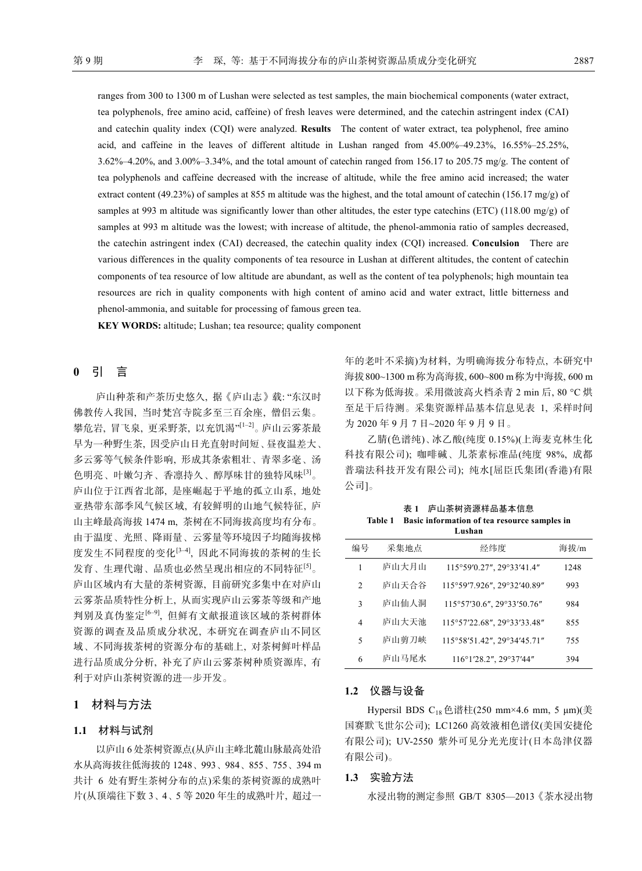ranges from 300 to 1300 m of Lushan were selected as test samples, the main biochemical components (water extract, tea polyphenols, free amino acid, caffeine) of fresh leaves were determined, and the catechin astringent index (CAI) and catechin quality index (CQI) were analyzed. **Results** The content of water extract, tea polyphenol, free amino acid, and caffeine in the leaves of different altitude in Lushan ranged from 45.00%–49.23%, 16.55%–25.25%, 3.62%‒4.20%, and 3.00%‒3.34%, and the total amount of catechin ranged from 156.17 to 205.75 mg/g. The content of tea polyphenols and caffeine decreased with the increase of altitude, while the free amino acid increased; the water extract content (49.23%) of samples at 855 m altitude was the highest, and the total amount of catechin (156.17 mg/g) of samples at 993 m altitude was significantly lower than other altitudes, the ester type catechins (ETC) (118.00 mg/g) of samples at 993 m altitude was the lowest; with increase of altitude, the phenol-ammonia ratio of samples decreased, the catechin astringent index (CAI) decreased, the catechin quality index (CQI) increased. **Conculsion** There are various differences in the quality components of tea resource in Lushan at different altitudes, the content of catechin components of tea resource of low altitude are abundant, as well as the content of tea polyphenols; high mountain tea resources are rich in quality components with high content of amino acid and water extract, little bitterness and phenol-ammonia, and suitable for processing of famous green tea.

**KEY WORDS:** altitude; Lushan; tea resource; quality component

## **0** 引 言

庐山种茶和产茶历史悠久, 据《庐山志》载: "东汉时 佛教传入我国, 当时梵宫寺院多至三百余座, 僧侣云集。 攀危岩, 冒飞泉, 更采野茶, 以充饥渴"[1‒2]。庐山云雾茶最 早为一种野生茶, 因受庐山日光直射时间短、昼夜温差大、 多云雾等气候条件影响, 形成其条索粗壮、青翠多毫、汤 色明亮、叶嫩匀齐、香凛持久、醇厚味甘的独特风味[3]。 庐山位于江西省北部, 是座崛起于平地的孤立山系, 地处 亚热带东部季风气候区域, 有较鲜明的山地气候特征, 庐 山主峰最高海拔 1474 m, 茶树在不同海拔高度均有分布。 由于温度、光照、降雨量、云雾量等环境因子均随海拔梯 度发生不同程度的变化<sup>[3-4]</sup>, 因此不同海拔的茶树的生长 发育、生理代谢、品质也必然呈现出相应的不同特征[5]。 庐山区域内有大量的茶树资源, 目前研究多集中在对庐山 云雾茶品质特性分析上, 从而实现庐山云雾茶等级和产地 判别及真伪鉴定[6‒9], 但鲜有文献报道该区域的茶树群体 资源的调查及品质成分状况, 本研究在调查庐山不同区 域、不同海拔茶树的资源分布的基础上, 对茶树鲜叶样品 进行品质成分分析, 补充了庐山云雾茶树种质资源库, 有 利于对庐山茶树资源的进一步开发。

## **1** 材料与方法

### **1.1** 材料与试剂

以庐山 6 处茶树资源点(从庐山主峰北麓山脉最高处沿 水从高海拔往低海拔的 1248、993、984、855、755、394 m 共计 6 处有野生茶树分布的点)采集的茶树资源的成熟叶 片(从顶端往下数 3、4、5 等 2020 年生的成熟叶片, 超过一 年的老叶不采摘)为材料, 为明确海拔分布特点, 本研究中 海拔800~1300 m称为高海拔, 600~800 m称为中海拔, 600 m 以下称为低海拔。采用微波高火档杀青 2 min 后, 80 °C 烘 至足干后待测。采集资源样品基本信息见表 1, 采样时间 为 2020 年 9 月 7 日~2020 年 9 月 9 日。

乙腈(色谱纯)、冰乙酸(纯度 0.15%)(上海麦克林生化 科技有限公司); 咖啡碱、儿茶素标准品(纯度 98%, 成都 普瑞法科技开发有限公司); 纯水[屈臣氏集团(香港)有限 公司]。

表 **1** 庐山茶树资源样品基本信息 **Table 1 Basic information of tea resource samples in Lushan** 

|                |       | тляман                      |      |
|----------------|-------|-----------------------------|------|
| 编号             | 采集地点  | 经纬度                         | 海拔/m |
| 1              | 庐山大月山 | 115°59'0.27", 29°33'41.4"   | 1248 |
| 2              | 庐山天合谷 | 115°59'7.926", 29°32'40.89" | 993  |
| 3              | 庐山仙人洞 | 115°57'30.6", 29°33'50.76"  | 984  |
| $\overline{4}$ | 庐山大天池 | 115°57'22.68", 29°33'33.48" | 855  |
| 5              | 庐山剪刀峡 | 115°58'51.42", 29°34'45.71" | 755  |
| 6              | 庐山马尾水 | 116°1'28.2", 29°37'44"      | 394  |

#### **1.2** 仪器与设备

Hypersil BDS C<sub>18</sub> 色谱柱(250 mm×4.6 mm, 5 μm)(美 国赛默飞世尔公司); LC1260 高效液相色谱仪(美国安捷伦 有限公司); UV-2550 紫外可见分光光度计(日本岛津仪器 有限公司)。

#### **1.3** 实验方法

水浸出物的测定参照 GB/T 8305—2013《茶水浸出物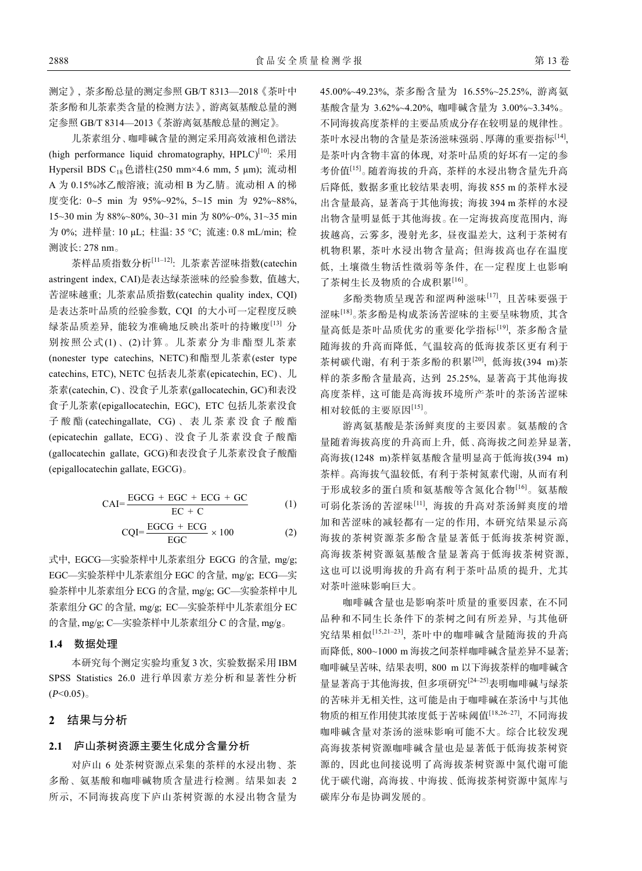测定》, 茶多酚总量的测定参照 GB/T 8313—2018《茶叶中 茶多酚和儿茶素类含量的检测方法》, 游离氨基酸总量的测 定参照 GB/T 8314—2013《茶游离氨基酸总量的测定》。

儿茶素组分、咖啡碱含量的测定采用高效液相色谱法 (high performance liquid chromatography,  $HPLC$ <sup>[10]</sup>:  $\overline{\mathcal{R}}$ 用 Hypersil BDS C<sub>18</sub> 色谱柱(250 mm×4.6 mm, 5 μm); 流动相 A 为 0.15%冰乙酸溶液; 流动相 B 为乙腈。流动相 A 的梯 度变化: 0~5 min 为 95%~92%, 5~15 min 为 92%~88%, 15~30 min 为 88%~80%, 30~31 min 为 80%~0%, 31~35 min 为 0%; 进样量: 10 μL; 柱温: 35 °C; 流速: 0.8 mL/min; 检 测波长: 278 nm。

茶样品质指数分析[11-12]: 儿茶素苦涩味指数(catechin astringent index, CAI)是表达绿茶滋味的经验参数, 值越大, 苦涩味越重; 儿茶素品质指数(catechin quality index, CQI) 是表达茶叶品质的经验参数, CQI 的大小可一定程度反映 绿茶品质差异, 能较为准确地反映出茶叶的持嫩度[13] 分 别按照公式(1)、(2)计算。儿茶素分为非酯型儿茶素 (nonester type catechins, NETC)和酯型儿茶素(ester type catechins, ETC), NETC 包括表儿茶素(epicatechin, EC)、儿 茶素(catechin, C)、没食子儿茶素(gallocatechin, GC)和表没 食子儿茶素(epigallocatechin, EGC), ETC 包括儿茶素没食 子酸酯 (catechingallate, CG) 、表儿茶素没食子酸酯 (epicatechin gallate, ECG)、没食子儿茶素没食子酸酯 (gallocatechin gallate, GCG)和表没食子儿茶素没食子酸酯 (epigallocatechin gallate, EGCG)。

$$
CAI = \frac{EGCG + EGC + ECG + GC}{EC + C}
$$
 (1)

$$
CQI = \frac{EGCG + ECG}{EGC} \times 100
$$
 (2)

式中, EGCG—实验茶样中儿茶素组分 EGCG 的含量, mg/g; EGC—实验茶样中儿茶素组分 EGC 的含量, mg/g; ECG—实 验茶样中儿茶素组分 ECG 的含量, mg/g; GC—实验茶样中儿 茶素组分 GC 的含量, mg/g; EC—实验茶样中儿茶素组分 EC 的含量, mg/g; C—实验茶样中儿茶素组分 C 的含量, mg/g。

### **1.4** 数据处理

本研究每个测定实验均重复 3 次, 实验数据采用 IBM SPSS Statistics 26.0 进行单因素方差分析和显著性分析  $(P<0.05)$ 。

## **2** 结果与分析

#### **2.1** 庐山茶树资源主要生化成分含量分析

对庐山 6 处茶树资源点采集的茶样的水浸出物、茶 多酚、氨基酸和咖啡碱物质含量进行检测。结果如表 2 所示, 不同海拔高度下庐山茶树资源的水浸出物含量为 45.00%~49.23%, 茶多酚含量为 16.55%~25.25%, 游离氨 基酸含量为 3.62%~4.20%, 咖啡碱含量为 3.00%~3.34%。 不同海拔高度茶样的主要品质成分存在较明显的规律性。 茶叶水浸出物的含量是茶汤滋味强弱、厚薄的重要指标[14], 是茶叶内含物丰富的体现, 对茶叶品质的好坏有一定的参 考价值[15]。随着海拔的升高, 茶样的水浸出物含量先升高 后降低, 数据多重比较结果表明, 海拔 855 m 的茶样水浸 出含量最高, 显著高于其他海拔; 海拔 394 m 茶样的水浸 出物含量明显低于其他海拔。在一定海拔高度范围内, 海 拔越高, 云雾多, 漫射光多, 昼夜温差大, 这利于茶树有 机物积累, 茶叶水浸出物含量高; 但海拔高也存在温度 低, 土壤微生物活性微弱等条件, 在一定程度上也影响 了茶树生长及物质的合成积累[16]。

多酚类物质呈现苦和涩两种滋味[17], 且苦味要强于 涩味[18]。茶多酚是构成茶汤苦涩味的主要呈味物质, 其含 量高低是茶叶品质优劣的重要化学指标[19], 茶多酚含量 随海拔的升高而降低, 气温较高的低海拔茶区更有利于 茶树碳代谢, 有利于茶多酚的积累[20], 低海拔(394 m)茶 样的茶多酚含量最高, 达到 25.25%, 显著高于其他海拔 高度茶样, 这可能是高海拔环境所产茶叶的茶汤苦涩味 相对较低的主要原因[15]。

游离氨基酸是茶汤鲜爽度的主要因素。氨基酸的含 量随着海拔高度的升高而上升, 低、高海拔之间差异显著, 高海拔(1248 m)茶样氨基酸含量明显高于低海拔(394 m) 茶样。高海拔气温较低, 有利于茶树氮素代谢, 从而有利 于形成较多的蛋白质和氨基酸等含氮化合物[16]。氨基酸 可弱化茶汤的苦涩味[11], 海拔的升高对茶汤鲜爽度的增 加和苦涩味的减轻都有一定的作用, 本研究结果显示高 海拔的茶树资源茶多酚含量显著低于低海拔茶树资源, 高海拔茶树资源氨基酸含量显著高于低海拔茶树资源, 这也可以说明海拔的升高有利于茶叶品质的提升, 尤其 对茶叶滋味影响巨大。

咖啡碱含量也是影响茶叶质量的重要因素, 在不同 品种和不同生长条件下的茶树之间有所差异, 与其他研 究结果相似[15,21‒23], 茶叶中的咖啡碱含量随海拔的升高 而降低, 800~1000 m 海拔之间茶样咖啡碱含量差异不显著; 咖啡碱呈苦味, 结果表明, 800 m 以下海拔茶样的咖啡碱含 量显著高于其他海拔, 但多项研究<sup>[24-25]</sup>表明咖啡碱与绿茶 的苦味并无相关性, 这可能是由于咖啡碱在茶汤中与其他 物质的相互作用使其浓度低于苦味阈值[18,26‒27], 不同海拔 咖啡碱含量对茶汤的滋味影响可能不大。综合比较发现 高海拔茶树资源咖啡碱含量也是显著低于低海拔茶树资 源的, 因此也间接说明了高海拔茶树资源中氮代谢可能 优于碳代谢, 高海拔、中海拔、低海拔茶树资源中氮库与 碳库分布是协调发展的。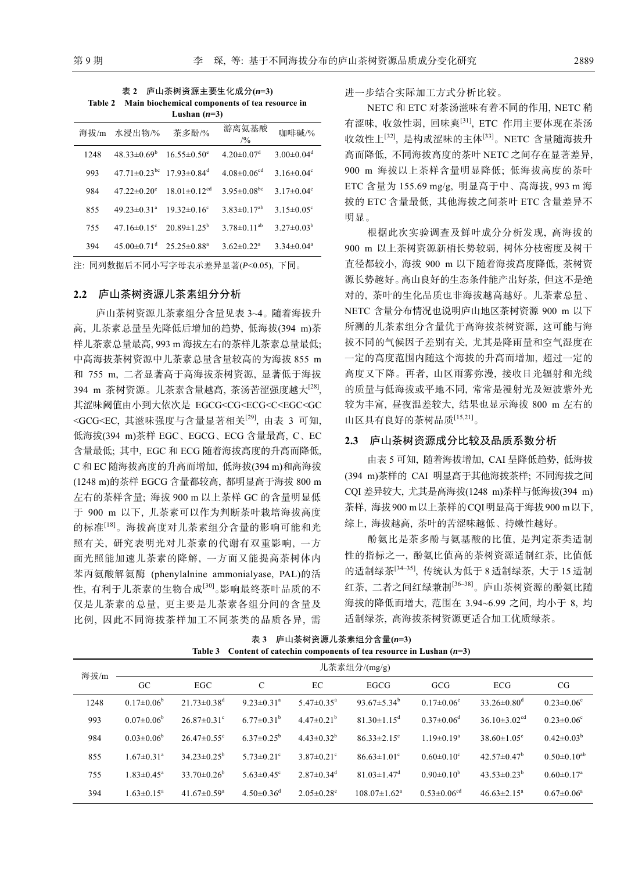表 **2** 庐山茶树资源主要生化成分**(***n***=3) Table 2 Main biochemical components of tea resource in**  Lushan  $(n=3)$ 

| 海拔/m | 水浸出物/%                         | 茶多酚/%                          | 游离氨基酸<br>/9/0                 | 咖啡碱/%                        |
|------|--------------------------------|--------------------------------|-------------------------------|------------------------------|
| 1248 | $48.33 \pm 0.69^b$             | $16.55 \pm 0.50$ <sup>e</sup>  | $4.20 \pm 0.07$ <sup>d</sup>  | $3.00 \pm 0.04$ <sup>d</sup> |
| 993  | $47.71 \pm 0.23$ <sup>bc</sup> | $17.93 \pm 0.84$ <sup>d</sup>  | $4.08 \pm 0.06$ <sup>cd</sup> | $3.16 \pm 0.04^{\circ}$      |
| 984  | $47.22 \pm 0.20$ °             | $18.01 \pm 0.12$ <sup>cd</sup> | $3.95 \pm 0.08$ <sup>bc</sup> | $3.17 \pm 0.04$ <sup>c</sup> |
| 855  | $49.23 \pm 0.31$ <sup>a</sup>  | $19.32 \pm 0.16$ <sup>c</sup>  | $3.83 \pm 0.17$ <sup>ab</sup> | $3.15 \pm 0.05$ <sup>c</sup> |
| 755  | $47.16 \pm 0.15$ °             | $20.89 \pm 1.25^b$             | $3.78 \pm 0.11^{ab}$          | $3.27 \pm 0.03^b$            |
| 394  | $45.00 \pm 0.71$ <sup>d</sup>  | $25.25 \pm 0.88^a$             | $3.62 \pm 0.22^a$             | $3.34 \pm 0.04^a$            |

注: 同列数据后不同小写字母表示差异显著(*P*<0.05), 下同。

### **2.2** 庐山茶树资源儿茶素组分分析

庐山茶树资源儿茶素组分含量见表 3~4。随着海拔升 高, 儿茶素总量呈先降低后增加的趋势, 低海拔(394 m)茶 样儿茶素总量最高, 993 m 海拔左右的茶样儿茶素总量最低; 中高海拔茶树资源中儿茶素总量含量较高的为海拔 855 m 和 755 m, 二者显著高于高海拔茶树资源, 显著低于海拔 394 m 茶树资源。儿茶素含量越高, 茶汤苦涩强度越大[28], 其涩味阈值由小到大依次是 EGCG<CG<ECG<C<EGC<GC <GCG<EC, 其滋味强度与含量显著相关<sup>[29]</sup>, 由表 3 可知, 低海拔(394 m)茶样 EGC、EGCG、ECG 含量最高, C、EC 含量最低; 其中, EGC 和 ECG 随着海拔高度的升高而降低, C 和 EC 随海拔高度的升高而增加, 低海拔(394 m)和高海拔 (1248 m)的茶样 EGCG 含量都较高, 都明显高于海拔 800 m 左右的茶样含量; 海拔 900 m 以上茶样 GC 的含量明显低 于 900 m 以下, 儿茶素可以作为判断茶叶栽培海拔高度 的标准[18]。海拔高度对儿茶素组分含量的影响可能和光 照有关, 研究表明光对儿茶素的代谢有双重影响, 一方 面光照能加速儿茶素的降解, 一方面又能提高茶树体内 苯丙氨酸解氨酶 (phenylalnine ammonialyase, PAL)的活 性, 有利于儿茶素的生物合成[30]。影响最终茶叶品质的不 仅是儿茶素的总量, 更主要是儿茶素各组分间的含量及 比例, 因此不同海拔茶样加工不同茶类的品质各异, 需 进一步结合实际加工方式分析比较。

NETC 和 ETC 对茶汤滋味有着不同的作用, NETC 稍 有涩味, 收敛性弱, 回味爽[31], ETC 作用主要体现在茶汤 收敛性上[32], 是构成涩味的主体[33]。NETC 含量随海拔升 高而降低, 不同海拔高度的茶叶 NETC 之间存在显著差异, 900 m 海拔以上茶样含量明显降低; 低海拔高度的茶叶 ETC 含量为 155.69 mg/g, 明显高于中、高海拔, 993 m 海 拔的 ETC 含量最低, 其他海拔之间茶叶 ETC 含量差异不 明显。

根据此次实验调查及鲜叶成分分析发现, 高海拔的 900 m 以上茶树资源新梢长势较弱, 树体分枝密度及树干 直径都较小, 海拔 900 m 以下随着海拔高度降低, 茶树资 源长势越好。高山良好的生态条件能产出好茶, 但这不是绝 对的, 茶叶的生化品质也非海拔越高越好。儿茶素总量、 NETC 含量分布情况也说明庐山地区茶树资源 900 m 以下 所测的儿茶素组分含量优于高海拔茶树资源, 这可能与海 拔不同的气候因子差别有关, 尤其是降雨量和空气湿度在 一定的高度范围内随这个海拔的升高而增加, 超过一定的 高度又下降。再者, 山区雨雾弥漫, 接收日光辐射和光线 的质量与低海拔或平地不同, 常常是漫射光及短波紫外光 较为丰富, 昼夜温差较大, 结果也显示海拔 800 m 左右的 山区具有良好的茶树品质[15,21]。

#### **2.3** 庐山茶树资源成分比较及品质系数分析

由表 5 可知, 随着海拔增加, CAI 呈降低趋势, 低海拔 (394 m)茶样的 CAI 明显高于其他海拔茶样; 不同海拔之间 CQI 差异较大, 尤其是高海拔(1248 m)茶样与低海拔(394 m) 茶样, 海拔900 m以上茶样的CQI明显高于海拔900 m以下, 综上, 海拔越高, 茶叶的苦涩味越低、持嫩性越好。

酚氨比是茶多酚与氨基酸的比值, 是判定茶类适制 性的指标之一, 酚氨比值高的茶树资源适制红茶, 比值低 的适制绿茶[34‒35], 传统认为低于 8 适制绿茶, 大于 15 适制 红茶, 二者之间红绿兼制[36‒38]。庐山茶树资源的酚氨比随 海拔的降低而增大, 范围在 3.94~6.99 之间, 均小于 8, 均 适制绿茶, 高海拔茶树资源更适合加工优质绿茶。

海拔/m 儿茶素组分/(mg/g) GC EGC C EC EGCG GCG ECG CG 1248  $0.17 \pm 0.06^b$  $21.73 \pm 0.38$ <sup>d</sup> 9.23 $\pm$ 0.31<sup>a</sup> 5.47 $\pm$ 0.35<sup>a</sup> 93.67 $\pm$ 5.34<sup>b</sup>  $0.17 \pm 0.06$ <sup>e</sup>  $33.26 \pm 0.80$ <sup>d</sup>  $0.23 \pm 0.06$ <sup>c</sup> 993  $0.07\pm0.06^b$  $26.87 \pm 0.31$ <sup>c</sup> 6.77 $\pm$ 0.31<sup>b</sup> 4.47 $\pm$ 0.21<sup>b</sup> 81.30 $\pm$ 1.15<sup>d</sup>  $0.37 \pm 0.06$ <sup>d</sup>  $36.10\pm3.02^{cd}$  0.23 $\pm0.06^{c}$ 984  $0.03\pm0.06^b$  $26.47 \pm 0.55$ <sup>c</sup>  $6.37\pm0.25^{\circ}$   $4.43\pm0.32^{\circ}$   $86.33\pm2.15^{\circ}$  $1.19 \pm 0.19^a$  $38.60 \pm 1.05$ <sup>c</sup>  $0.42 \pm 0.03^b$ 855 1.67±0.31<sup>a</sup>  $34.23 \pm 0.25^b$  $5.73\pm0.21^{\circ}$   $3.87\pm0.21^{\circ}$   $86.63\pm1.01^{\circ}$  $0.60 \pm 0.10$ <sup>c</sup>  $42.57 \pm 0.47$ <sup>b</sup>  $0.50\pm0.10^{ab}$ 755 1.83±0.45<sup>a</sup>  $33.70\pm0.26^{\rm b}$  $5.63\pm0.45^{\circ}$   $2.87\pm0.34^{\circ}$   $81.03\pm1.47^{\circ}$  $0.90 \pm 0.10^b$  $43.53\pm0.23^b$  $0.60 \pm 0.17$ <sup>a</sup> 394 1.63±0.15<sup>a</sup> 41.67 $\pm$ 0.59<sup>a</sup>  $4.50\pm0.36^{\text{d}}$   $2.05\pm0.28^{\text{e}}$   $108.07\pm1.62^{\text{a}}$  $0.53\pm0.06^{cd}$  46.63 $\pm2.15^{ad}$  $0.67 \pm 0.06^a$ 

表 **3** 庐山茶树资源儿茶素组分含量**(***n***=3) Table 3 Content of catechin components of tea resource in Lushan (***n***=3)**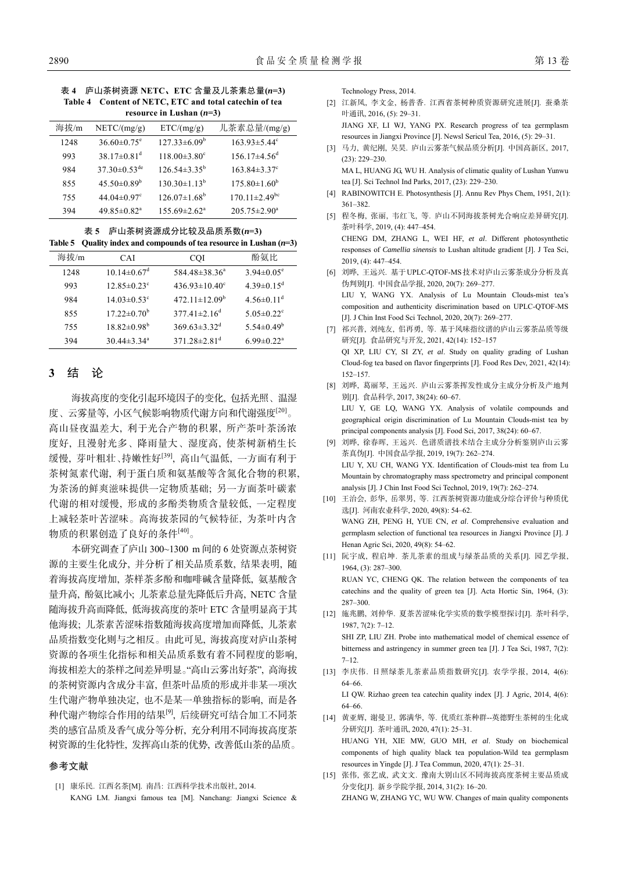表 **4** 庐山茶树资源 **NETC**、**ETC** 含量及儿茶素总量**(***n***=3) Table 4 Content of NETC, ETC and total catechin of tea resource in Lushan (***n***=3)** 

| 海拔/m | NETC/(mg/g)                   | ETC/(mg/g)                     | 儿茶素总量/(mg/g)                    |
|------|-------------------------------|--------------------------------|---------------------------------|
| 1248 | $36.60 \pm 0.75$ <sup>e</sup> | $127.33\pm6.09^b$              | $163.93 \pm 5.44$ <sup>c</sup>  |
| 993  | $38.17 \pm 0.81$ <sup>d</sup> | $118.00 \pm 3.80$ <sup>c</sup> | $156.17\pm4.56^{\rm d}$         |
| 984  | $37.30\pm0.53^{\text{de}}$    | $126.54 \pm 3.35^{\circ}$      | $163.84 \pm 3.37$ <sup>c</sup>  |
| 855  | $45.50 \pm 0.89^b$            | $130.30 \pm 1.13^b$            | $175.80 \pm 1.60^b$             |
| 755  | $44.04 \pm 0.97$ <sup>c</sup> | $126.07\pm1.68^b$              | $170.11 \pm 2.49$ <sup>bc</sup> |
| 394  | $49.85 \pm 0.82$ <sup>a</sup> | $155.69 \pm 2.62^{\circ}$      | $205.75 \pm 2.90^{\circ}$       |

表 **5** 庐山茶树资源成分比较及品质系数**(***n***=3) Table 5 Quality index and compounds of tea resource in Lushan (***n***=3)** 

| 海拔/m | <b>CAI</b>                    | <b>COI</b>                     | 酚氨比                          |
|------|-------------------------------|--------------------------------|------------------------------|
| 1248 | $10.14 \pm 0.67$ <sup>d</sup> | 584.48±38.36 <sup>a</sup>      | $3.94 \pm 0.05^{\circ}$      |
| 993  | $12.85 \pm 0.23$ <sup>c</sup> | $436.93 \pm 10.40^{\circ}$     | $4.39 \pm 0.15$ <sup>d</sup> |
| 984  | $14.03 \pm 0.53$ <sup>c</sup> | $472.11 \pm 12.09^b$           | $4.56\pm0.11^{\rm d}$        |
| 855  | $17.22 \pm 0.70^{\rm b}$      | $377.41 \pm 2.16^d$            | $5.05 \pm 0.22$ <sup>c</sup> |
| 755  | $18.82 \pm 0.98^{\rm b}$      | $369.63 \pm 3.32$ <sup>d</sup> | $5.54 \pm 0.49^b$            |
| 394  | $30.44 \pm 3.34$ <sup>a</sup> | $371.28 \pm 2.81$ <sup>d</sup> | $6.99 \pm 0.22$ <sup>a</sup> |

## **3** 结 论

海拔高度的变化引起环境因子的变化, 包括光照、温湿 度、云雾量等, 小区气候影响物质代谢方向和代谢强度[20]。 高山昼夜温差大, 利于光合产物的积累, 所产茶叶茶汤浓 度好, 且漫射光多、降雨量大、湿度高, 使茶树新梢生长 缓慢, 芽叶粗壮、持嫩性好[39], 高山气温低, 一方面有利于 茶树氮素代谢, 利于蛋白质和氨基酸等含氮化合物的积累, 为茶汤的鲜爽滋味提供一定物质基础; 另一方面茶叶碳素 代谢的相对缓慢, 形成的多酚类物质含量较低, 一定程度 上减轻茶叶苦涩味。高海拔茶园的气候特征, 为茶叶内含 物质的积累创造了良好的条件[40]。

本研究调查了庐山 300~1300 m 间的 6 处资源点茶树资 源的主要生化成分, 并分析了相关品质系数, 结果表明, 随 着海拔高度增加, 茶样茶多酚和咖啡碱含量降低, 氨基酸含 量升高, 酚氨比减小; 儿茶素总量先降低后升高, NETC 含量 随海拔升高而降低, 低海拔高度的茶叶 ETC 含量明显高于其 他海拔; 儿茶素苦涩味指数随海拔高度增加而降低, 儿茶素 品质指数变化则与之相反。由此可见, 海拔高度对庐山茶树 资源的各项生化指标和相关品质系数有着不同程度的影响, 海拔相差大的茶样之间差异明显。"高山云雾出好茶", 高海拔 的茶树资源内含成分丰富, 但茶叶品质的形成并非某一项次 生代谢产物单独决定, 也不是某一单独指标的影响, 而是各 种代谢产物综合作用的结果[9], 后续研究可结合加工不同茶 类的感官品质及香气成分等分析, 充分利用不同海拔高度茶 树资源的生化特性, 发挥高山茶的优势, 改善低山茶的品质。

#### 参考文献

[1] 康乐民. 江西名茶[M]. 南昌: 江西科学技术出版社, 2014. KANG LM. Jiangxi famous tea [M]. Nanchang: Jiangxi Science & Technology Press, 2014.

- [2] 江新凤, 李文金, 杨普香. 江西省茶树种质资源研究进展[J]. 蚕桑茶 叶通讯, 2016, (5): 29‒31. JIANG XF, LI WJ, YANG PX. Research progress of tea germplasm resources in Jiangxi Province [J]. Newsl Sericul Tea, 2016, (5): 29–31.
- [3] 马力, 黄纪刚, 吴昊. 庐山云雾茶气候品质分析[J]. 中国高新区, 2017, (23): 229‒230.

MA L, HUANG JG, WU H. Analysis of climatic quality of Lushan Yunwu tea [J]. Sci Technol Ind Parks, 2017, (23): 229-230.

- [4] RABINOWITCH E. Photosynthesis [J]. Annu Rev Phys Chem, 1951, 2(1): 361‒382.
- [5] 程冬梅, 张丽, 韦红飞, 等. 庐山不同海拔茶树光合响应差异研究[J]. 茶叶科学, 2019, (4): 447‒454.

CHENG DM, ZHANG L, WEI HF, *et al*. Different photosynthetic responses of *Camellia sinensis* to Lushan altitude gradient [J]. J Tea Sci,  $2019(4): 447 - 454.$ 

- [6] 刘晔, 王远兴. 基于UPLC-QTOF-MS技术对庐山云雾茶成分分析及真 伪判别[J]. 中国食品学报, 2020, 20(7): 269‒277. LIU Y, WANG YX. Analysis of Lu Mountain Clouds-mist tea's composition and authenticity discrimination based on UPLC-QTOF-MS [J]. J Chin Inst Food Sci Technol, 2020, 20(7): 269‒277.
- [7] 祁兴普, 刘纯友, 佀再勇, 等. 基于风味指纹谱的庐山云雾茶品质等级 研究[J]. 食品研究与开发, 2021, 42(14): 152‒157 QI XP, LIU CY, SI ZY, *et al*. Study on quality grading of Lushan Cloud-fog tea based on flavor fingerprints [J]. Food Res Dev, 2021, 42(14): 152‒157.
- [8] 刘晔, 葛丽琴, 王远兴. 庐山云雾茶挥发性成分主成分分析及产地判 别[J]. 食品科学, 2017, 38(24): 60‒67. LIU Y, GE LQ, WANG YX. Analysis of volatile compounds and geographical origin discrimination of Lu Mountain Clouds-mist tea by principal components analysis [J]. Food Sci, 2017, 38(24): 60-67.
- [9] 刘晔, 徐春晖, 王远兴. 色谱质谱技术结合主成分分析鉴别庐山云雾 茶真伪[J]. 中国食品学报, 2019, 19(7): 262‒274. LIU Y, XU CH, WANG YX. Identification of Clouds-mist tea from Lu Mountain by chromatography mass spectrometry and principal component analysis [J]. J Chin Inst Food Sci Technol, 2019, 19(7): 262-274.
- [10] 王治会, 彭华, 岳翠男, 等. 江西茶树资源功能成分综合评价与种质优 选[J]. 河南农业科学, 2020, 49(8): 54‒62. WANG ZH, PENG H, YUE CN, *et al*. Comprehensive evaluation and germplasm selection of functional tea resources in Jiangxi Province [J]. J Henan Agric Sci, 2020, 49(8): 54-62.
- [11] 阮宇成, 程启坤. 茶儿茶素的组成与绿茶品质的关系[J]. 园艺学报, 1964, (3): 287‒300. RUAN YC, CHENG QK. The relation between the components of tea catechins and the quality of green tea [J]. Acta Hortic Sin, 1964, (3): 287‒300.
- [12] 施兆鹏, 刘仲华. 夏茶苦涩味化学实质的数学模型探讨[J]. 茶叶科学, 1987, 7(2): 7‒12. SHI ZP, LIU ZH. Probe into mathematical model of chemical essence of

bitterness and astringency in summer green tea [J]. J Tea Sci, 1987, 7(2):  $7 - 12.$ 

[13] 李庆伟. 日照绿茶儿茶素品质指数研究[J]. 农学学报, 2014, 4(6): 64‒66.

LI QW. Rizhao green tea catechin quality index [J]. J Agric, 2014, 4(6): 64‒66.

- [14] 黄亚辉, 谢曼卫, 郭满华, 等. 优质红茶种群--英德野生茶树的生化成 分研究[J]. 茶叶通讯, 2020, 47(1): 25‒31. HUANG YH, XIE MW, GUO MH, *et al*. Study on biochemical components of high quality black tea population-Wild tea germplasm resources in Yingde [J]. J Tea Commun, 2020, 47(1): 25‒31.
- [15] 张伟, 张艺成, 武文文. 豫南大别山区不同海拔高度茶树主要品质成 分变化[J]. 新乡学院学报, 2014, 31(2): 16‒20. ZHANG W, ZHANG YC, WU WW. Changes of main quality components